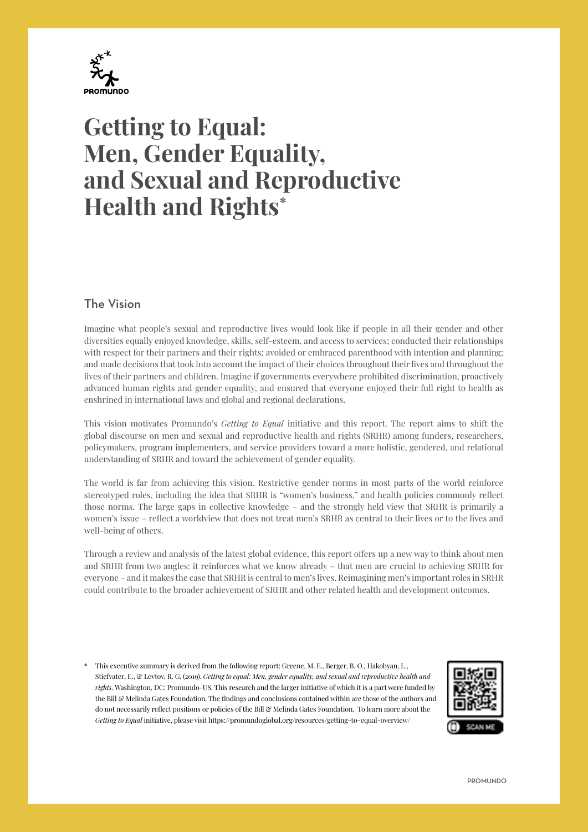

# **Getting to Equal: Men, Gender Equality, and Sexual and Reproductive Health and Rights\***

# The Vision

Imagine what people's sexual and reproductive lives would look like if people in all their gender and other diversities equally enjoyed knowledge, skills, self-esteem, and access to services; conducted their relationships with respect for their partners and their rights; avoided or embraced parenthood with intention and planning; and made decisions that took into account the impact of their choices throughout their lives and throughout the lives of their partners and children. Imagine if governments everywhere prohibited discrimination, proactively advanced human rights and gender equality, and ensured that everyone enjoyed their full right to health as enshrined in international laws and global and regional declarations.

This vision motivates Promundo's *Getting to Equal* initiative and this report. The report aims to shift the global discourse on men and sexual and reproductive health and rights (SRHR) among funders, researchers, policymakers, program implementers, and service providers toward a more holistic, gendered, and relational understanding of SRHR and toward the achievement of gender equality.

The world is far from achieving this vision. Restrictive gender norms in most parts of the world reinforce stereotyped roles, including the idea that SRHR is "women's business," and health policies commonly reflect those norms. The large gaps in collective knowledge – and the strongly held view that SRHR is primarily a women's issue – reflect a worldview that does not treat men's SRHR as central to their lives or to the lives and well-being of others.

Through a review and analysis of the latest global evidence, this report offers up a new way to think about men and SRHR from two angles: it reinforces what we know already – that men are crucial to achieving SRHR for everyone – and it makes the case that SRHR is central to men's lives. Reimagining men's important roles in SRHR could contribute to the broader achievement of SRHR and other related health and development outcomes.

\* This executive summary is derived from the following report: Greene, M. E., Berger, B. O., Hakobyan, L., Stiefvater, E., & Levtov, R. G. (2019). *Getting to equal: Men, gender equality, and sexual and reproductive health and rights*. Washington, DC: Promundo-US. This research and the larger initiative of which it is a part were funded by the Bill & Melinda Gates Foundation. The findings and conclusions contained within are those of the authors and do not necessarily reflect positions or policies of the Bill & Melinda Gates Foundation. To learn more about the *Getting to Equal* initiative, please visit [https://promundoglobal.org/resources/getting-to-equal-overview/]( https://promundoglobal.org/resources/getting-to-equal-overview/)

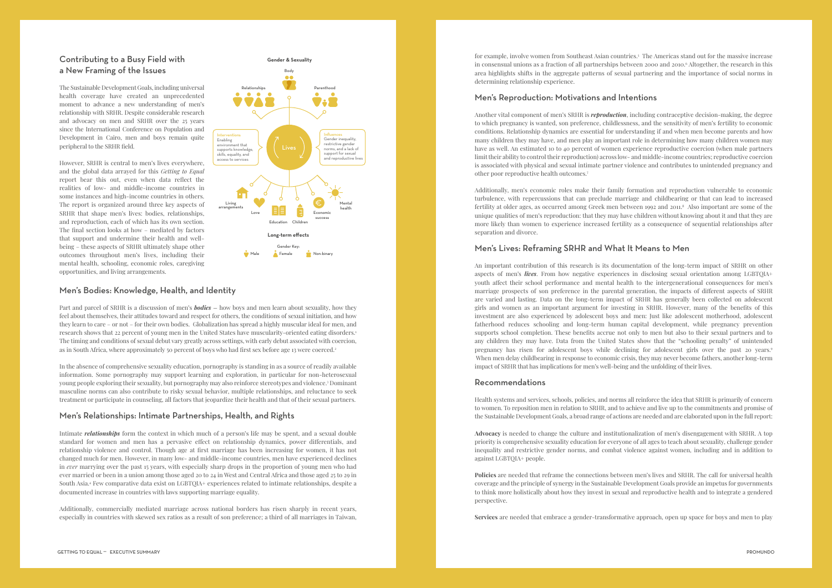2 TECHNOLOGY LANDSCAPE FOR CERVICAL PRE-CANCER unitaid 3

Part and parcel of SRHR is a discussion of men's *bodies –* how boys and men learn about sexuality, how they feel about themselves, their attitudes toward and respect for others, the conditions of sexual initiation, and how they learn to care – or not – for their own bodies. Globalization has spread a highly muscular ideal for men, and research shows that 22 percent of young men in the United States have muscularity-oriented eating disorders.1 The timing and conditions of sexual debut vary greatly across settings, with early debut associated with coercion, as in South Africa, where approximately 50 percent of boys who had first sex before age 13 were coerced.<sup>2</sup>

Men's Bodies: Knowledge, Health, and Identity<br>Part and parcel of SRHR is a discussion of men's *bodies* – how bo<br>feel about themselves, their attitudes toward and respect for others<br>they learn to care – or not – for their Intimate *relationships* form the context in which much of a person's life may be spent, and a sexual double standard for women and men has a pervasive effect on relationship dynamics, power differentials, and relationship violence and control. Though age at first marriage has been increasing for women, it has not changed much for men. However, in many low- and middle-income countries, men have experienced declines in *ever* marrying over the past 15 years, with especially sharp drops in the proportion of young men who had ever married or been in a union among those aged 20 to 24 in West and Central Africa and those aged 25 to 29 in South Asia.4 Few comparative data exist on LGBTQIA+ experiences related to intimate relationships, despite a documented increase in countries with laws supporting marriage equality.

In the absence of comprehensive sexuality education, pornography is standing in as a source of readily available information. Some pornography may support learning and exploration, in particular for non-heterosexual young people exploring their sexuality, but pornography may also reinforce stereotypes and violence.<sup>3</sup> Dominant masculine norms can also contribute to risky sexual behavior, multiple relationships, and reluctance to seek treatment or participate in counseling, all factors that jeopardize their health and that of their sexual partners.

## Men's Relationships: Intimate Partnerships, Health, and Rights

Additionally, commercially mediated marriage across national borders has risen sharply in recent years, especially in countries with skewed sex ratios as a result of son preference; a third of all marriages in Taiwan,



# Contributing to a Busy Field with a New Framing of the Issues

The Sustainable Development Goals, including universal health coverage have created an unprecedented moment to advance a new understanding of men's relationship with SRHR. Despite considerable research and advocacy on men and SRHR over the 25 years since the International Conference on Population and Development in Cairo, men and boys remain quite peripheral to the SRHR field.

However, SRHR is central to men's lives everywhere, and the global data arrayed for this *Getting to Equal* report bear this out, even when data reflect the realities of low- and middle-income countries in some instances and high-income countries in others. The report is organized around three key aspects of SRHR that shape men's lives: bodies, relationships, and reproduction, each of which has its own section. The final section looks at how – mediated by factors that support and undermine their health and wellbeing – these aspects of SRHR ultimately shape other outcomes throughout men's lives, including their mental health, schooling, economic roles, caregiving opportunities, and living arrangements.

for example, involve women from Southeast Asian countries.5 The Americas stand out for the massive increase in consensual unions as a fraction of all partnerships between 2000 and 2010. Altogether, the research in this area highlights shifts in the aggregate patterns of sexual partnering and the importance of social norms in determining relationship experience.

### Men's Reproduction: Motivations and Intentions

Another vital component of men's SRHR is *reproduction*, including contraceptive decision-making, the degree to which pregnancy is wanted, son preference, childlessness, and the sensitivity of men's fertility to economic conditions. Relationship dynamics are essential for understanding if and when men become parents and how many children they may have, and men play an important role in determining how many children women may have as well. An estimated 10 to 40 percent of women experience reproductive coercion (when male partners limit their ability to control their reproduction) across low- and middle-income countries; reproductive coercion is associated with physical and sexual intimate partner violence and contributes to unintended pregnancy and other poor reproductive health outcomes.7

Additionally, men's economic roles make their family formation and reproduction vulnerable to economic turbulence, with repercussions that can preclude marriage and childbearing or that can lead to increased fertility at older ages, as occurred among Greek men between 1992 and 2011.8 Also important are some of the unique qualities of men's reproduction: that they may have children without knowing about it and that they are more likely than women to experience increased fertility as a consequence of sequential relationships after separation and divorce.

# Men's Lives: Reframing SRHR and What It Means to Men

An important contribution of this research is its documentation of the long-term impact of SRHR on other aspects of men's *lives*. From how negative experiences in disclosing sexual orientation among LGBTQIA+ youth affect their school performance and mental health to the intergenerational consequences for men's marriage prospects of son preference in the parental generation, the impacts of different aspects of SRHR are varied and lasting. Data on the long-term impact of SRHR has generally been collected on adolescent girls and women as an important argument for investing in SRHR. However, many of the benefits of this investment are also experienced by adolescent boys and men: Just like adolescent motherhood, adolescent fatherhood reduces schooling and long-term human capital development, while pregnancy prevention supports school completion. These benefits accrue not only to men but also to their sexual partners and to any children they may have. Data from the United States show that the "schooling penalty" of unintended pregnancy has risen for adolescent boys while declining for adolescent girls over the past 20 years.9 When men delay childbearing in response to economic crisis, they may never become fathers, another long-term impact of SRHR that has implications for men's well-being and the unfolding of their lives.

### Recommendations

Health systems and services, schools, policies, and norms all reinforce the idea that SRHR is primarily of concern to women. To reposition men in relation to SRHR, and to achieve and live up to the commitments and promise of the Sustainable Development Goals, a broad range of actions are needed and are elaborated upon in the full report:

**Advocacy** is needed to change the culture and institutionalization of men's disengagement with SRHR. A top priority is comprehensive sexuality education for everyone of all ages to teach about sexuality, challenge gender inequality and restrictive gender norms, and combat violence against women, including and in addition to against LGBTQIA+ people.

**Policies** are needed that reframe the connections between men's lives and SRHR. The call for universal health coverage and the principle of synergy in the Sustainable Development Goals provide an impetus for governments to think more holistically about how they invest in sexual and reproductive health and to integrate a gendered perspective.

**Services** are needed that embrace a gender-transformative approach, open up space for boys and men to play